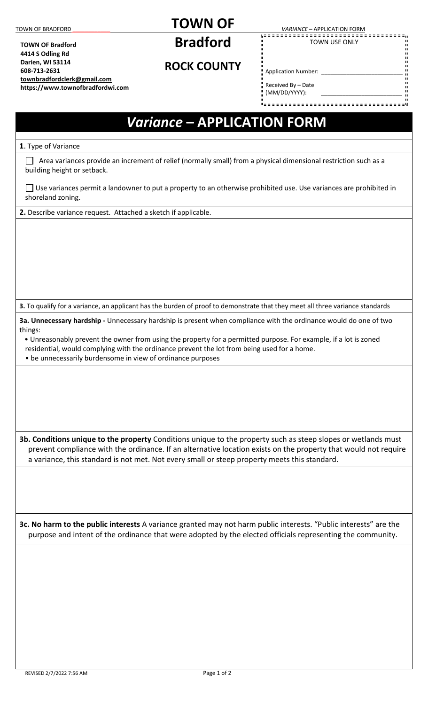**TOWN OF Bradford 4414 S Odling Rd Darien, WI 53114 608-713-2631**

**[townbradfordclerk@gmail.com](mailto:townbradfordclerk@gmail.com)  https://www.townofbradfordwi.com**

## **TOWN OF**

**Bradford** 

## TOWN OF BRADFORD **TOWALLOCATION FORM**<br>
TOWALLOCATION FORM **A**

TOWN USE ONLY

**ROCK COUNTY** 

Application Number: \_\_\_\_\_\_\_\_\_\_\_\_\_\_\_\_\_\_\_\_\_\_\_\_\_\_

n Received By – Date<br>II (1414/DD (2001) (MM/DD/YYYY): \_\_\_\_\_\_\_\_\_\_\_\_\_\_\_\_\_\_\_\_\_\_\_\_\_\_

## *Variance* **– APPLICATION FORM**

**1**. Type of Variance

 $\Box$  Area variances provide an increment of relief (normally small) from a physical dimensional restriction such as a building height or setback.

□ Use variances permit a landowner to put a property to an otherwise prohibited use. Use variances are prohibited in shoreland zoning.

**2.** Describe variance request. Attached a sketch if applicable.

**3.** To qualify for a variance, an applicant has the burden of proof to demonstrate that they meet all three variance standards

**3a. Unnecessary hardship -** Unnecessary hardship is present when compliance with the ordinance would do one of two things:

• Unreasonably prevent the owner from using the property for a permitted purpose. For example, if a lot is zoned

residential, would complying with the ordinance prevent the lot from being used for a home.

• be unnecessarily burdensome in view of ordinance purposes

**3b. Conditions unique to the property** Conditions unique to the property such as steep slopes or wetlands must prevent compliance with the ordinance. If an alternative location exists on the property that would not require a variance, this standard is not met. Not every small or steep property meets this standard.

**3c. No harm to the public interests** A variance granted may not harm public interests. "Public interests" are the purpose and intent of the ordinance that were adopted by the elected officials representing the community.